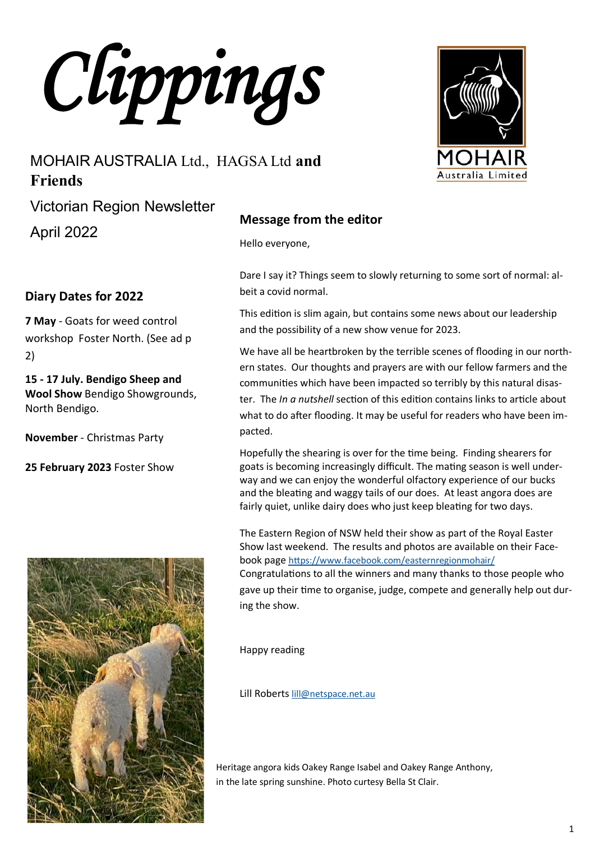*Clippings* 

# MOHAIR AUSTRALIA Ltd., HAGSA Ltd **and Friends**

Victorian Region Newsletter

April 2022

### **Diary Dates for 2022**

**7 May** - Goats for weed control workshop Foster North. (See ad p 2)

**15 - 17 July. Bendigo Sheep and Wool Show** Bendigo Showgrounds, North Bendigo.

**November** - Christmas Party

**25 February 2023** Foster Show



### **Message from the editor**

Hello everyone,

Dare I say it? Things seem to slowly returning to some sort of normal: albeit a covid normal.

This edition is slim again, but contains some news about our leadership and the possibility of a new show venue for 2023.

We have all be heartbroken by the terrible scenes of flooding in our northern states. Our thoughts and prayers are with our fellow farmers and the communities which have been impacted so terribly by this natural disaster. The *In a nutshell* section of this edition contains links to article about what to do after flooding. It may be useful for readers who have been impacted.

Hopefully the shearing is over for the time being. Finding shearers for goats is becoming increasingly difficult. The mating season is well underway and we can enjoy the wonderful olfactory experience of our bucks and the bleating and waggy tails of our does. At least angora does are fairly quiet, unlike dairy does who just keep bleating for two days.

The Eastern Region of NSW held their show as part of the Royal Easter Show last weekend. The results and photos are available on their Facebook page <https://www.facebook.com/easternregionmohair/> Congratulations to all the winners and many thanks to those people who gave up their time to organise, judge, compete and generally help out during the show.

Happy reading

Lill Roberts [lill@netspace.net.au](mailto:lill@netspace.net.au)

Heritage angora kids Oakey Range Isabel and Oakey Range Anthony, in the late spring sunshine. Photo curtesy Bella St Clair.

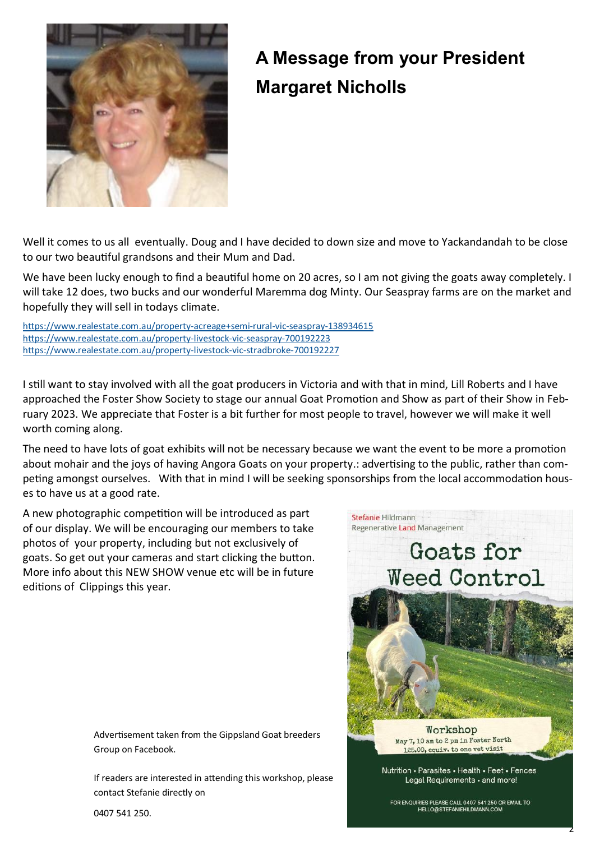

# **A Message from your President Margaret Nicholls**

Well it comes to us all eventually. Doug and I have decided to down size and move to Yackandandah to be close to our two beautiful grandsons and their Mum and Dad.

We have been lucky enough to find a beautiful home on 20 acres, so I am not giving the goats away completely. I will take 12 does, two bucks and our wonderful Maremma dog Minty. Our Seaspray farms are on the market and hopefully they will sell in todays climate.

[https://www.realestate.com.au/property](https://www.realestate.com.au/property-acreage+semi-rural-vic-seaspray-138934615)-acreage+semi-rural-vic-seaspray-138934615 [https://www.realestate.com.au/property](https://www.realestate.com.au/property-livestock-vic-seaspray-700192223)-livestock-vic-seaspray-700192223 [https://www.realestate.com.au/property](https://www.realestate.com.au/property-livestock-vic-stradbroke-700192227)-livestock-vic-stradbroke-700192227

I still want to stay involved with all the goat producers in Victoria and with that in mind, Lill Roberts and I have approached the Foster Show Society to stage our annual Goat Promotion and Show as part of their Show in February 2023. We appreciate that Foster is a bit further for most people to travel, however we will make it well worth coming along.

The need to have lots of goat exhibits will not be necessary because we want the event to be more a promotion about mohair and the joys of having Angora Goats on your property.: advertising to the public, rather than competing amongst ourselves. With that in mind I will be seeking sponsorships from the local accommodation houses to have us at a good rate.

A new photographic competition will be introduced as part of our display. We will be encouraging our members to take photos of your property, including but not exclusively of goats. So get out your cameras and start clicking the button. More info about this NEW SHOW venue etc will be in future editions of Clippings this year.

Stefanie Hildmann Regenerative Land Management



Advertisement taken from the Gippsland Goat breeders Group on Facebook.

If readers are interested in attending this workshop, please contact Stefanie directly on

0407 541 250.

FOR ENQUIRIES PLEASE CALL 0407 541 250 OR EMAIL TO HELLO@STEFANIEHILDMANN.COM

2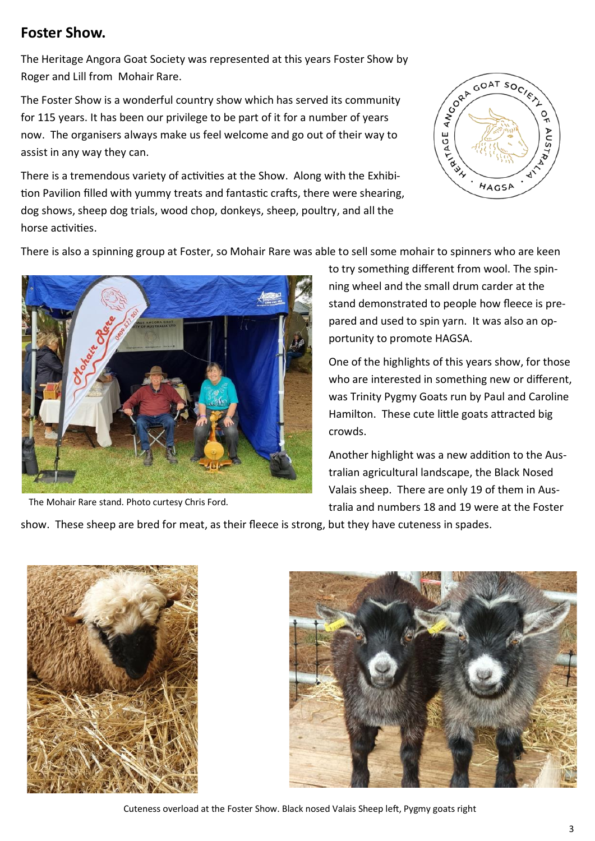### **Foster Show.**

The Heritage Angora Goat Society was represented at this years Foster Show by Roger and Lill from Mohair Rare.

The Foster Show is a wonderful country show which has served its community for 115 years. It has been our privilege to be part of it for a number of years now. The organisers always make us feel welcome and go out of their way to assist in any way they can.

There is a tremendous variety of activities at the Show. Along with the Exhibition Pavilion filled with yummy treats and fantastic crafts, there were shearing, dog shows, sheep dog trials, wood chop, donkeys, sheep, poultry, and all the horse activities.



There is also a spinning group at Foster, so Mohair Rare was able to sell some mohair to spinners who are keen



The Mohair Rare stand. Photo curtesy Chris Ford.

to try something different from wool. The spinning wheel and the small drum carder at the stand demonstrated to people how fleece is prepared and used to spin yarn. It was also an opportunity to promote HAGSA.

One of the highlights of this years show, for those who are interested in something new or different, was Trinity Pygmy Goats run by Paul and Caroline Hamilton. These cute little goats attracted big crowds.

Another highlight was a new addition to the Australian agricultural landscape, the Black Nosed Valais sheep. There are only 19 of them in Australia and numbers 18 and 19 were at the Foster

show. These sheep are bred for meat, as their fleece is strong, but they have cuteness in spades.





Cuteness overload at the Foster Show. Black nosed Valais Sheep left, Pygmy goats right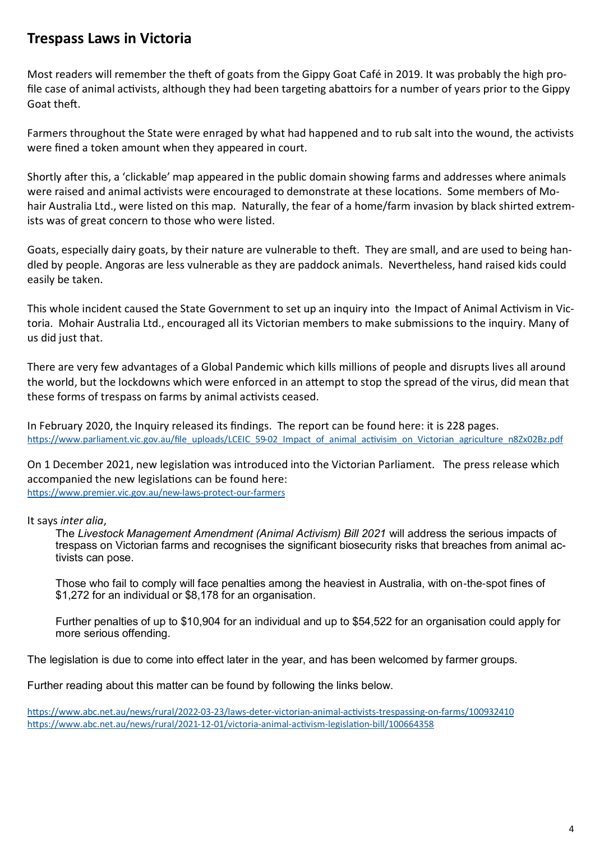### **Trespass Laws in Victoria**

Most readers will remember the theft of goats from the Gippy Goat Café in 2019. It was probably the high profile case of animal activists, although they had been targeting abattoirs for a number of years prior to the Gippy Goat theft.

Farmers throughout the State were enraged by what had happened and to rub salt into the wound, the activists were fined a token amount when they appeared in court.

Shortly after this, a 'clickable' map appeared in the public domain showing farms and addresses where animals were raised and animal activists were encouraged to demonstrate at these locations. Some members of Mohair Australia Ltd., were listed on this map. Naturally, the fear of a home/farm invasion by black shirted extremists was of great concern to those who were listed.

Goats, especially dairy goats, by their nature are vulnerable to theft. They are small, and are used to being handled by people. Angoras are less vulnerable as they are paddock animals. Nevertheless, hand raised kids could easily be taken.

This whole incident caused the State Government to set up an inquiry into the Impact of Animal Activism in Victoria. Mohair Australia Ltd., encouraged all its Victorian members to make submissions to the inquiry. Many of us did just that.

There are very few advantages of a Global Pandemic which kills millions of people and disrupts lives all around the world, but the lockdowns which were enforced in an attempt to stop the spread of the virus, did mean that these forms of trespass on farms by animal activists ceased.

In February 2020, the Inquiry released its findings. The report can be found here: it is 228 pages. https://www.parliament.vic.gov.au/file\_uploads/LCEIC\_59-[02\\_Impact\\_of\\_animal\\_activisim\\_on\\_Victorian\\_agriculture\\_n8Zx02Bz.pdf](https://www.parliament.vic.gov.au/file_uploads/LCEIC_59-02_Impact_of_animal_activisim_on_Victorian_agriculture_n8Zx02Bz.pdf)

On 1 December 2021, new legislation was introduced into the Victorian Parliament. The press release which accompanied the new legislations can be found here: [https://www.premier.vic.gov.au/new](https://www.premier.vic.gov.au/new-laws-protect-our-farmers)-laws-protect-our-farmers

It says *inter alia*,

The *Livestock Management Amendment (Animal Activism) Bill 2021* will address the serious impacts of trespass on Victorian farms and recognises the significant biosecurity risks that breaches from animal activists can pose.

Those who fail to comply will face penalties among the heaviest in Australia, with on-the-spot fines of \$1,272 for an individual or \$8,178 for an organisation.

Further penalties of up to \$10,904 for an individual and up to \$54,522 for an organisation could apply for more serious offending.

The legislation is due to come into effect later in the year, and has been welcomed by farmer groups.

Further reading about this matter can be found by following the links below.

[https://www.abc.net.au/news/rural/2022](https://www.abc.net.au/news/rural/2022-03-23/laws-deter-victorian-animal-activists-trespassing-on-farms/100932410)-03-23/laws-deter-victorian-animal-activists-trespassing-on-farms/100932410 [https://www.abc.net.au/news/rural/2021](https://www.abc.net.au/news/rural/2021-12-01/victoria-animal-activism-legislation-bill/100664358)-12-01/victoria-animal-activism-legislation-bill/100664358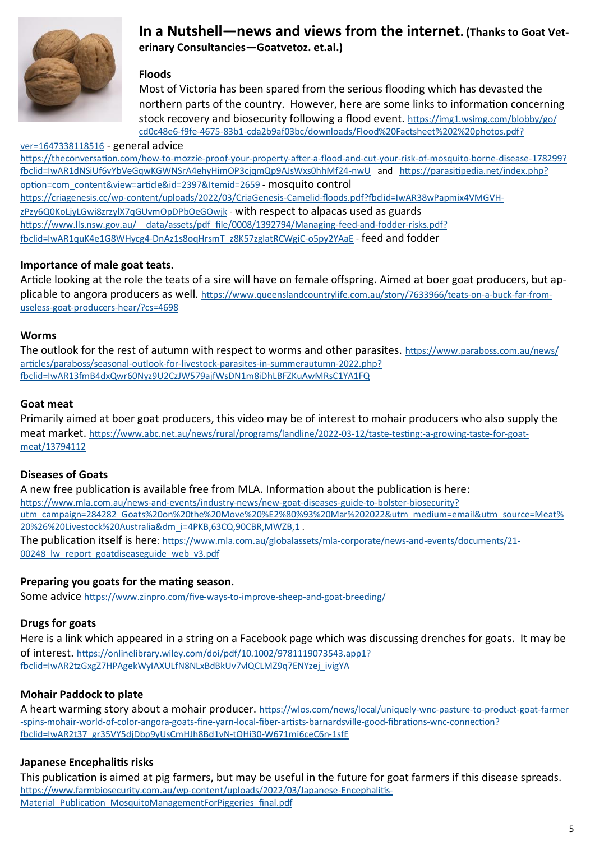

### **In a Nutshell—news and views from the internet. (Thanks to Goat Veterinary Consultancies—Goatvetoz. et.al.)**

#### **Floods**

Most of Victoria has been spared from the serious flooding which has devasted the northern parts of the country. However, here are some links to information concerning stock recovery and biosecurity following a flood event. [https://img1.wsimg.com/blobby/go/](https://img1.wsimg.com/blobby/go/cd0c48e6-f9fe-4675-83b1-cda2b9af03bc/downloads/Flood%20Factsheet%202%20photos.pdf?ver=1647338118516) cd0c48e6-f9fe-4675-83b1-[cda2b9af03bc/downloads/Flood%20Factsheet%202%20photos.pdf?](https://img1.wsimg.com/blobby/go/cd0c48e6-f9fe-4675-83b1-cda2b9af03bc/downloads/Flood%20Factsheet%202%20photos.pdf?ver=1647338118516)

#### [ver=1647338118516](https://img1.wsimg.com/blobby/go/cd0c48e6-f9fe-4675-83b1-cda2b9af03bc/downloads/Flood%20Factsheet%202%20photos.pdf?ver=1647338118516) - general advice

[https://theconversation.com/how](https://theconversation.com/how-to-mozzie-proof-your-property-after-a-flood-and-cut-your-risk-of-mosquito-borne-disease-178299?fbclid=IwAR1dNSiUf6vYbVeGqwKGWNSrA4ehyHimOP3cjqmQp9AJsWxs0hhMf24-nwU)-to-mozzie-proof-your-property-after-a-flood-and-cut-your-risk-of-mosquito-borne-disease-178299? [fbclid=IwAR1dNSiUf6vYbVeGqwKGWNSrA4ehyHimOP3cjqmQp9AJsWxs0hhMf24](https://theconversation.com/how-to-mozzie-proof-your-property-after-a-flood-and-cut-your-risk-of-mosquito-borne-disease-178299?fbclid=IwAR1dNSiUf6vYbVeGqwKGWNSrA4ehyHimOP3cjqmQp9AJsWxs0hhMf24-nwU)-nwU and [https://parasitipedia.net/index.php?](https://parasitipedia.net/index.php?option=com_content&view=article&id=2397&Itemid=2659) [option=com\\_content&view=article&id=2397&Itemid=2659](https://parasitipedia.net/index.php?option=com_content&view=article&id=2397&Itemid=2659) - mosquito control https://criagenesis.cc/wp-content/uploads/2022/03/CriaGenesis-Camelid-[floods.pdf?fbclid=IwAR38wPapmix4VMGVH](https://criagenesis.cc/wp-content/uploads/2022/03/CriaGenesis-Camelid-floods.pdf?fbclid=IwAR38wPapmix4VMGVH-zPzy6Q0KoLjyLGwi8zrzylX7qGUvmOpDPbOeGOwjk)[zPzy6Q0KoLjyLGwi8zrzylX7qGUvmOpDPbOeGOwjk](https://criagenesis.cc/wp-content/uploads/2022/03/CriaGenesis-Camelid-floods.pdf?fbclid=IwAR38wPapmix4VMGVH-zPzy6Q0KoLjyLGwi8zrzylX7qGUvmOpDPbOeGOwjk) - with respect to alpacas used as guards https://www.lls.nsw.gov.au/ data/assets/pdf file/0008/1392794/Managing-feed-and-fodder-risks.pdf? fbclid=IwAR1quK4e1G8WHycg4-[DnAz1s8oqHrsmT\\_z8K57zgIatRCWgiC](https://www.lls.nsw.gov.au/__data/assets/pdf_file/0008/1392794/Managing-feed-and-fodder-risks.pdf?fbclid=IwAR1quK4e1G8WHycg4-DnAz1s8oqHrsmT_z8K57zgIatRCWgiC-o5py2YAaE)-o5py2YAaE - feed and fodder

#### **Importance of male goat teats.**

Article looking at the role the teats of a sire will have on female offspring. Aimed at boer goat producers, but applicable to angora producers as well. [https://www.queenslandcountrylife.com.au/story/7633966/teats](https://www.queenslandcountrylife.com.au/story/7633966/teats-on-a-buck-far-from-useless-goat-producers-hear/?cs=4698)-on-a-buck-far-fromuseless-goat-producers-[hear/?cs=4698](https://www.queenslandcountrylife.com.au/story/7633966/teats-on-a-buck-far-from-useless-goat-producers-hear/?cs=4698)

#### **Worms**

The outlook for the rest of autumn with respect to worms and other parasites. [https://www.paraboss.com.au/news/](https://www.paraboss.com.au/news/articles/paraboss/seasonal-outlook-for-livestock-parasites-in-summerautumn-2022.php?fbclid=IwAR13fmB4dxQwr60Nyz9U2CzJW579ajfWsDN1m8iDhLBFZKuAwMRsC1YA1FQ) [articles/paraboss/seasonal](https://www.paraboss.com.au/news/articles/paraboss/seasonal-outlook-for-livestock-parasites-in-summerautumn-2022.php?fbclid=IwAR13fmB4dxQwr60Nyz9U2CzJW579ajfWsDN1m8iDhLBFZKuAwMRsC1YA1FQ)-outlook-for-livestock-parasites-in-summerautumn-2022.php? [fbclid=IwAR13fmB4dxQwr60Nyz9U2CzJW579ajfWsDN1m8iDhLBFZKuAwMRsC1YA1FQ](https://www.paraboss.com.au/news/articles/paraboss/seasonal-outlook-for-livestock-parasites-in-summerautumn-2022.php?fbclid=IwAR13fmB4dxQwr60Nyz9U2CzJW579ajfWsDN1m8iDhLBFZKuAwMRsC1YA1FQ)

#### **Goat meat**

Primarily aimed at boer goat producers, this video may be of interest to mohair producers who also supply the meat market. [https://www.abc.net.au/news/rural/programs/landline/2022](https://www.abc.net.au/news/rural/programs/landline/2022-03-12/taste-testing:-a-growing-taste-for-goat-meat/13794112)-03-12/taste-testing:-a-growing-taste-for-goat[meat/13794112](https://www.abc.net.au/news/rural/programs/landline/2022-03-12/taste-testing:-a-growing-taste-for-goat-meat/13794112)

#### **Diseases of Goats**

A new free publication is available free from MLA. Information about the publication is here: [https://www.mla.com.au/news](https://www.mla.com.au/news-and-events/industry-news/new-goat-diseases-guide-to-bolster-biosecurity?utm_campaign=284282_Goats%20on%20the%20Move%20%E2%80%93%20Mar%202022&utm_medium=email&utm_source=Meat%20%26%20Livestock%20Australia&dm_i=4PKB,63CQ,90CBR,MWZB,1)-and-events/industry-news/new-goat-diseases-guide-to-bolster-biosecurity? [utm\\_campaign=284282\\_Goats%20on%20the%20Move%20%E2%80%93%20Mar%202022&utm\\_medium=email&utm\\_source=Meat%](https://www.mla.com.au/news-and-events/industry-news/new-goat-diseases-guide-to-bolster-biosecurity?utm_campaign=284282_Goats%20on%20the%20Move%20%E2%80%93%20Mar%202022&utm_medium=email&utm_source=Meat%20%26%20Livestock%20Australia&dm_i=4PKB,63CQ,90CBR,MWZB,1) [20%26%20Livestock%20Australia&dm\\_i=4PKB,63CQ,90CBR,MWZB,1](https://www.mla.com.au/news-and-events/industry-news/new-goat-diseases-guide-to-bolster-biosecurity?utm_campaign=284282_Goats%20on%20the%20Move%20%E2%80%93%20Mar%202022&utm_medium=email&utm_source=Meat%20%26%20Livestock%20Australia&dm_i=4PKB,63CQ,90CBR,MWZB,1) .

The publication itself is here: [https://www.mla.com.au/globalassets/mla](https://www.mla.com.au/globalassets/mla-corporate/news-and-events/documents/21-00248_lw_report_goatdiseaseguide_web_v3.pdf)-corporate/news-and-events/documents/21- 00248 lw\_report\_goatdiseaseguide\_web\_v3.pdf

#### **Preparing you goats for the mating season.**

Some advice [https://www.zinpro.com/five](https://www.zinpro.com/five-ways-to-improve-sheep-and-goat-breeding/)-ways-to-improve-sheep-and-goat-breeding/

#### **Drugs for goats**

Here is a link which appeared in a string on a Facebook page which was discussing drenches for goats. It may be of interest. [https://onlinelibrary.wiley.com/doi/pdf/10.1002/9781119073543.app1?](https://onlinelibrary.wiley.com/doi/pdf/10.1002/9781119073543.app1?fbclid=IwAR2tzGxgZ7HPAgekWyIAXULfN8NLxBdBkUv7vlQCLMZ9q7ENYzej_ivigYA) [fbclid=IwAR2tzGxgZ7HPAgekWyIAXULfN8NLxBdBkUv7vlQCLMZ9q7ENYzej\\_ivigYA](https://onlinelibrary.wiley.com/doi/pdf/10.1002/9781119073543.app1?fbclid=IwAR2tzGxgZ7HPAgekWyIAXULfN8NLxBdBkUv7vlQCLMZ9q7ENYzej_ivigYA)

#### **Mohair Paddock to plate**

A heart warming story about a mohair producer. [https://wlos.com/news/local/uniquely](https://wlos.com/news/local/uniquely-wnc-pasture-to-product-goat-farmer-spins-mohair-world-of-color-angora-goats-fine-yarn-local-fiber-artists-barnardsville-good-fibrations-wnc-connection?fbclid=IwAR2t37_gr35VY5djDbp9yUsCmHJh8Bd1vN-tOHi30-W671mi6ceC6n-1sfE)-wnc-pasture-to-product-goat-farmer -spins-mohair-world-of-color-angora-goats-fine-yarn-local-fiber-artists-[barnardsville](https://wlos.com/news/local/uniquely-wnc-pasture-to-product-goat-farmer-spins-mohair-world-of-color-angora-goats-fine-yarn-local-fiber-artists-barnardsville-good-fibrations-wnc-connection?fbclid=IwAR2t37_gr35VY5djDbp9yUsCmHJh8Bd1vN-tOHi30-W671mi6ceC6n-1sfE)-good-fibrations-wnc-connection? [fbclid=IwAR2t37\\_gr35VY5djDbp9yUsCmHJh8Bd1vN](https://wlos.com/news/local/uniquely-wnc-pasture-to-product-goat-farmer-spins-mohair-world-of-color-angora-goats-fine-yarn-local-fiber-artists-barnardsville-good-fibrations-wnc-connection?fbclid=IwAR2t37_gr35VY5djDbp9yUsCmHJh8Bd1vN-tOHi30-W671mi6ceC6n-1sfE)-tOHi30-W671mi6ceC6n-1sfE

#### **Japanese Encephalitis risks**

This publication is aimed at pig farmers, but may be useful in the future for goat farmers if this disease spreads. [https://www.farmbiosecurity.com.au/wp](https://www.farmbiosecurity.com.au/wp-content/uploads/2022/03/Japanese-Encephalitis-Material_Publication_MosquitoManagementForPiggeries_final.pdf)-content/uploads/2022/03/Japanese-Encephalitis-Material Publication MosquitoManagementForPiggeries final.pdf